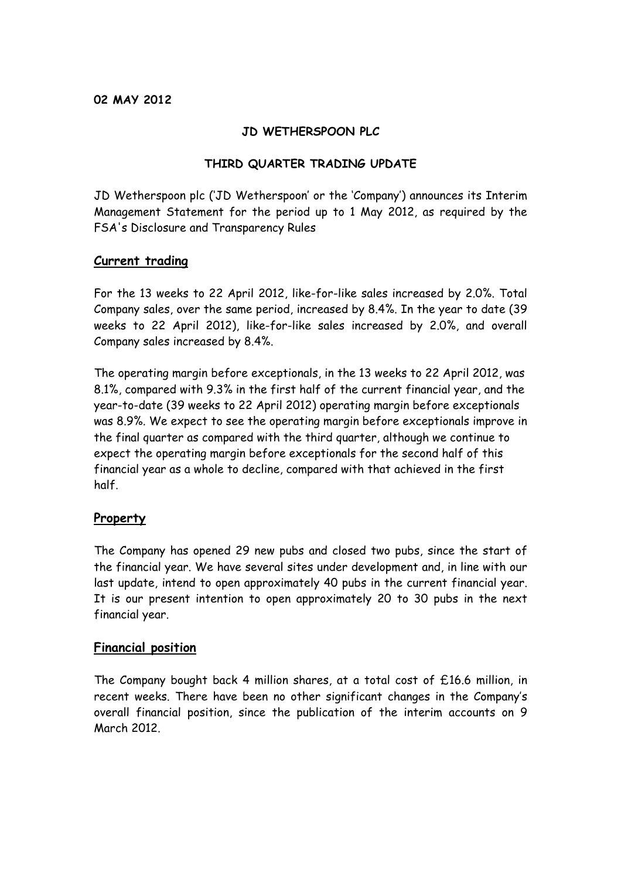### **JD WETHERSPOON PLC**

### **THIRD QUARTER TRADING UPDATE**

JD Wetherspoon plc ('JD Wetherspoon' or the 'Company') announces its Interim Management Statement for the period up to 1 May 2012, as required by the FSA's Disclosure and Transparency Rules

### **Current trading**

For the 13 weeks to 22 April 2012, like-for-like sales increased by 2.0%. Total Company sales, over the same period, increased by 8.4%. In the year to date (39 weeks to 22 April 2012), like-for-like sales increased by 2.0%, and overall Company sales increased by 8.4%.

The operating margin before exceptionals, in the 13 weeks to 22 April 2012, was 8.1%, compared with 9.3% in the first half of the current financial year, and the year-to-date (39 weeks to 22 April 2012) operating margin before exceptionals was 8.9%. We expect to see the operating margin before exceptionals improve in the final quarter as compared with the third quarter, although we continue to expect the operating margin before exceptionals for the second half of this financial year as a whole to decline, compared with that achieved in the first half.

# **Property**

The Company has opened 29 new pubs and closed two pubs, since the start of the financial year. We have several sites under development and, in line with our last update, intend to open approximately 40 pubs in the current financial year. It is our present intention to open approximately 20 to 30 pubs in the next financial year.

### **Financial position**

The Company bought back 4 million shares, at a total cost of £16.6 million, in recent weeks. There have been no other significant changes in the Company's overall financial position, since the publication of the interim accounts on 9 March 2012.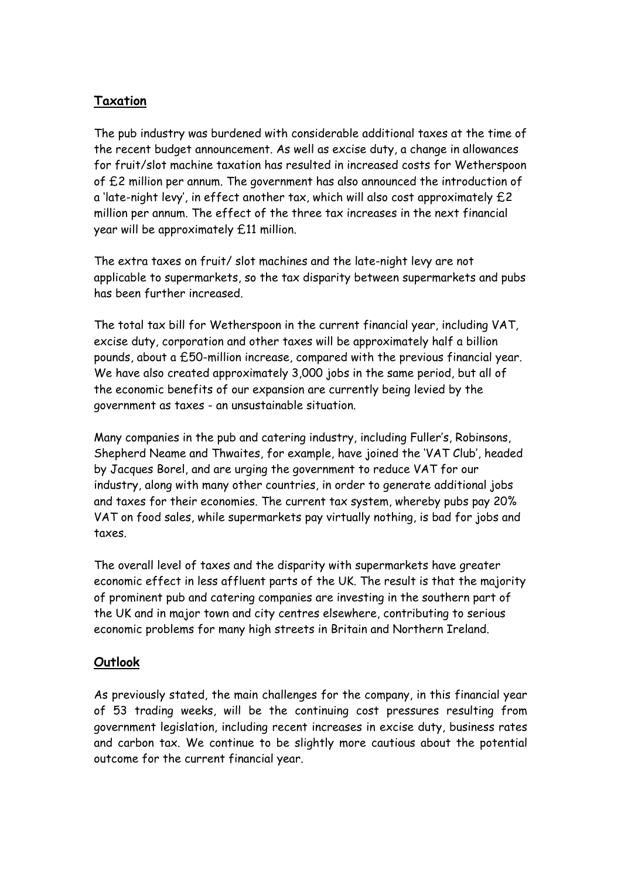# **Taxation**

The pub industry was burdened with considerable additional taxes at the time of the recent budget announcement. As well as excise duty, a change in allowances for fruit/slot machine taxation has resulted in increased costs for Wetherspoon of £2 million per annum. The government has also announced the introduction of a 'late-night levy', in effect another tax, which will also cost approximately £2 million per annum. The effect of the three tax increases in the next financial year will be approximately £11 million.

The extra taxes on fruit/ slot machines and the late-night levy are not applicable to supermarkets, so the tax disparity between supermarkets and pubs has been further increased.

The total tax bill for Wetherspoon in the current financial year, including VAT, excise duty, corporation and other taxes will be approximately half a billion pounds, about a £50-million increase, compared with the previous financial year. We have also created approximately 3,000 jobs in the same period, but all of the economic benefits of our expansion are currently being levied by the government as taxes - an unsustainable situation.

Many companies in the pub and catering industry, including Fuller's, Robinsons, Shepherd Neame and Thwaites, for example, have joined the 'VAT Club', headed by Jacques Borel, and are urging the government to reduce VAT for our industry, along with many other countries, in order to generate additional jobs and taxes for their economies. The current tax system, whereby pubs pay 20% VAT on food sales, while supermarkets pay virtually nothing, is bad for jobs and taxes.

The overall level of taxes and the disparity with supermarkets have greater economic effect in less affluent parts of the UK. The result is that the majority of prominent pub and catering companies are investing in the southern part of the UK and in major town and city centres elsewhere, contributing to serious economic problems for many high streets in Britain and Northern Ireland.

# **Outlook**

As previously stated, the main challenges for the company, in this financial year of 53 trading weeks, will be the continuing cost pressures resulting from government legislation, including recent increases in excise duty, business rates and carbon tax. We continue to be slightly more cautious about the potential outcome for the current financial year.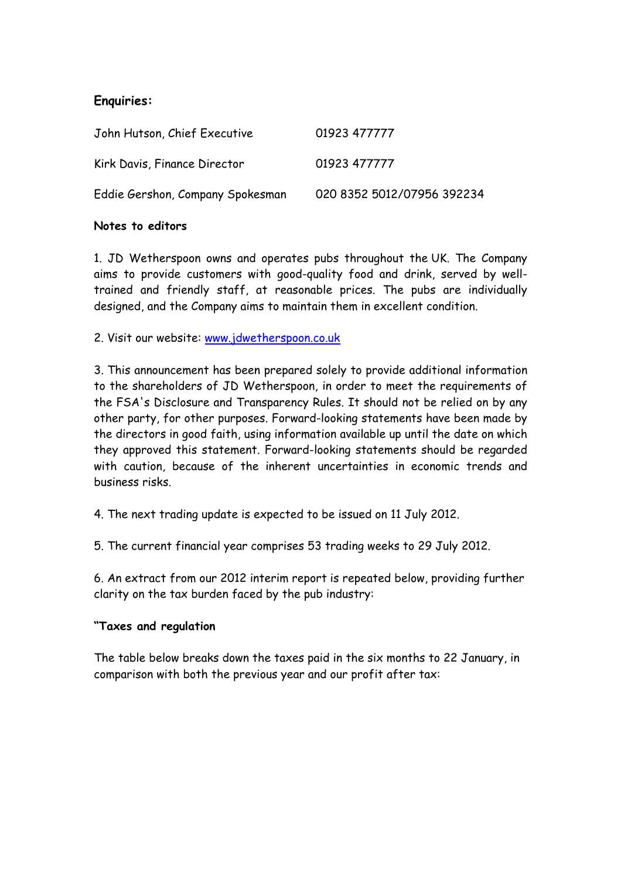# **Enquiries:**

| John Hutson, Chief Executive     | 01923 477777               |
|----------------------------------|----------------------------|
| Kirk Davis, Finance Director     | 01923 477777               |
| Eddie Gershon, Company Spokesman | 020 8352 5012/07956 392234 |

#### **Notes to editors**

1. JD Wetherspoon owns and operates pubs throughout the UK. The Company aims to provide customers with good-quality food and drink, served by welltrained and friendly staff, at reasonable prices. The pubs are individually designed, and the Company aims to maintain them in excellent condition.

2. Visit our website: [www.jdwetherspoon.co.uk](http://www.jdwetherspoon.co.uk/)

3. This announcement has been prepared solely to provide additional information to the shareholders of JD Wetherspoon, in order to meet the requirements of the FSA's Disclosure and Transparency Rules. It should not be relied on by any other party, for other purposes. Forward-looking statements have been made by the directors in good faith, using information available up until the date on which they approved this statement. Forward-looking statements should be regarded with caution, because of the inherent uncertainties in economic trends and business risks.

4. The next trading update is expected to be issued on 11 July 2012.

5. The current financial year comprises 53 trading weeks to 29 July 2012.

6. An extract from our 2012 interim report is repeated below, providing further clarity on the tax burden faced by the pub industry:

### **"Taxes and regulation**

The table below breaks down the taxes paid in the six months to 22 January, in comparison with both the previous year and our profit after tax: